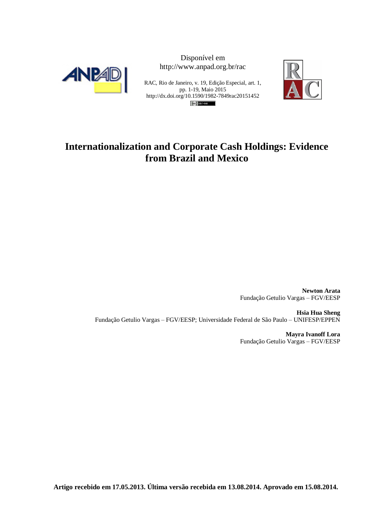

Disponível em http://www.anpad.org.br/rac

RAC, Rio de Janeiro, v. 19, Edição Especial, art. 1, pp. 1-19, Maio 2015 http://dx.doi.org/10.1590/1982-7849rac20151452  $(c)$  BY-NC



# **Internationalization and Corporate Cash Holdings: Evidence from Brazil and Mexico**

**Newton Arata** Fundação Getulio Vargas – FGV/EESP

**Hsia Hua Sheng** Fundação Getulio Vargas – FGV/EESP; Universidade Federal de São Paulo – UNIFESP/EPPEN

> **Mayra Ivanoff Lora** Fundação Getulio Vargas – FGV/EESP

**Artigo recebido em 17.05.2013. Última versão recebida em 13.08.2014. Aprovado em 15.08.2014.**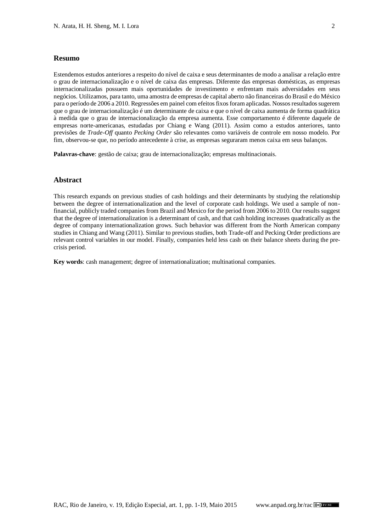#### **Resumo**

Estendemos estudos anteriores a respeito do nível de caixa e seus determinantes de modo a analisar a relação entre o grau de internacionalização e o nível de caixa das empresas. Diferente das empresas domésticas, as empresas internacionalizadas possuem mais oportunidades de investimento e enfrentam mais adversidades em seus negócios. Utilizamos, para tanto, uma amostra de empresas de capital aberto não financeiras do Brasil e do México para o período de 2006 a 2010. Regressões em painel com efeitos fixos foram aplicadas. Nossos resultados sugerem que o grau de internacionalização é um determinante de caixa e que o nível de caixa aumenta de forma quadrática à medida que o grau de internacionalização da empresa aumenta. Esse comportamento é diferente daquele de empresas norte-americanas, estudadas por Chiang e Wang (2011). Assim como a estudos anteriores, tanto previsões de *Trade-Off* quanto *Pecking Order* são relevantes como variáveis de controle em nosso modelo. Por fim, observou-se que, no período antecedente à crise, as empresas seguraram menos caixa em seus balanços.

**Palavras-chave**: gestão de caixa; grau de internacionalização; empresas multinacionais.

#### **Abstract**

This research expands on previous studies of cash holdings and their determinants by studying the relationship between the degree of internationalization and the level of corporate cash holdings. We used a sample of nonfinancial, publicly traded companies from Brazil and Mexico for the period from 2006 to 2010. Our results suggest that the degree of internationalization is a determinant of cash, and that cash holding increases quadratically as the degree of company internationalization grows. Such behavior was different from the North American company studies in Chiang and Wang (2011). Similar to previous studies, both Trade-off and Pecking Order predictions are relevant control variables in our model. Finally, companies held less cash on their balance sheets during the precrisis period.

**Key words**: cash management; degree of internationalization; multinational companies.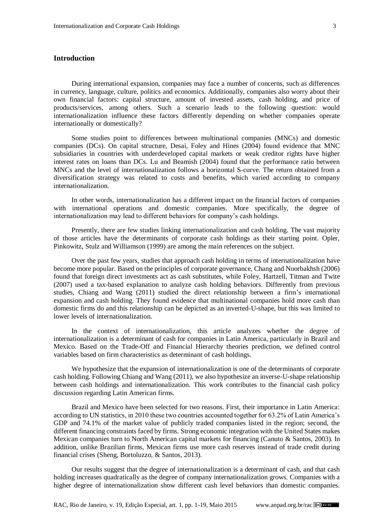## **Introduction**

During international expansion, companies may face a number of concerns, such as differences in currency, language, culture, politics and economics. Additionally, companies also worry about their own financial factors: capital structure, amount of invested assets, cash holding, and price of products/services, among others. Such a scenario leads to the following question: would internationalization influence these factors differently depending on whether companies operate internationally or domestically?

Some studies point to differences between multinational companies (MNCs) and domestic companies (DCs). On capital structure, Desai, Foley and Hines (2004) found evidence that MNC subsidiaries in countries with underdeveloped capital markets or weak creditor rights have higher interest rates on loans than DCs. Lu and Beamish (2004) found that the performance ratio between MNCs and the level of internationalization follows a horizontal S-curve. The return obtained from a diversification strategy was related to costs and benefits, which varied according to company internationalization.

In other words, internationalization has a different impact on the financial factors of companies with international operations and domestic companies. More specifically, the degree of internationalization may lead to different behaviors for company's cash holdings.

Presently, there are few studies linking internationalization and cash holding. The vast majority of those articles have the determinants of corporate cash holdings as their starting point. Opler, Pinkowitz, Stulz and Williamson (1999) are among the main references on the subject.

Over the past few years, studies that approach cash holding in terms of internationalization have become more popular. Based on the principles of corporate governance, Chang and Noorbakhsh (2006) found that foreign direct investments act as cash substitutes, while Foley, Hartzell, Titman and Twite (2007) used a tax-based explanation to analyze cash holding behaviors. Differently from previous studies, Chiang and Wang (2011) studied the direct relationship between a firm's international expansion and cash holding. They found evidence that multinational companies hold more cash than domestic firms do and this relationship can be depicted as an inverted-U-shape, but this was limited to lower levels of internationalization.

In the context of internationalization, this article analyzes whether the degree of internationalization is a determinant of cash for companies in Latin America, particularly in Brazil and Mexico. Based on the Trade-Off and Financial Hierarchy theories prediction, we defined control variables based on firm characteristics as determinant of cash holdings.

We hypothesize that the expansion of internationalization is one of the determinants of corporate cash holding. Following Chiang and Wang (2011), we also hypothesize an inverse-U-shape relationship between cash holdings and internationalization. This work contributes to the financial cash policy discussion regarding Latin American firms.

Brazil and Mexico have been selected for two reasons. First, their importance in Latin America: according to UN statistics, in 2010 these two countries accounted together for 63.2% of Latin America's GDP and 74.1% of the market value of publicly traded companies listed in the region; second, the different financing constraints faced by firms. Strong economic integration with the United States makes Mexican companies turn to North American capital markets for financing (Canuto & Santos, 2003). In addition, unlike Brazilian firms, Mexican firms use more cash reserves instead of trade credit during financial crises (Sheng, Bortoluzzo, & Santos, 2013).

Our results suggest that the degree of internationalization is a determinant of cash, and that cash holding increases quadratically as the degree of company internationalization grows. Companies with a higher degree of internationalization show different cash level behaviors than domestic companies.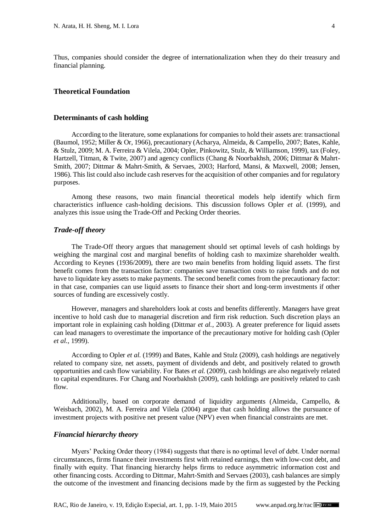Thus, companies should consider the degree of internationalization when they do their treasury and financial planning.

#### **Theoretical Foundation**

#### **Determinants of cash holding**

According to the literature, some explanations for companies to hold their assets are: transactional (Baumol, 1952; Miller & Or, 1966), precautionary (Acharya, Almeida, & Campello, 2007; Bates, Kahle, & Stulz, 2009; M. A. Ferreira & Vilela, 2004; Opler, Pinkowitz, Stulz, & Williamson, 1999), tax (Foley, Hartzell, Titman, & Twite, 2007) and agency conflicts (Chang & Noorbakhsh, 2006; Dittmar & Mahrt-Smith, 2007; Dittmar & Mahrt-Smith, & Servaes, 2003; Harford, Mansi, & Maxwell, 2008; Jensen, 1986). This list could also include cash reserves for the acquisition of other companies and for regulatory purposes.

Among these reasons, two main financial theoretical models help identify which firm characteristics influence cash-holding decisions. This discussion follows Opler *et al.* (1999), and analyzes this issue using the Trade-Off and Pecking Order theories.

#### *Trade-off theory*

The Trade-Off theory argues that management should set optimal levels of cash holdings by weighing the marginal cost and marginal benefits of holding cash to maximize shareholder wealth. According to Keynes (1936/2009), there are two main benefits from holding liquid assets. The first benefit comes from the transaction factor: companies save transaction costs to raise funds and do not have to liquidate key assets to make payments. The second benefit comes from the precautionary factor: in that case, companies can use liquid assets to finance their short and long-term investments if other sources of funding are excessively costly.

However, managers and shareholders look at costs and benefits differently. Managers have great incentive to hold cash due to managerial discretion and firm risk reduction. Such discretion plays an important role in explaining cash holding (Dittmar *et al.*, 2003). A greater preference for liquid assets can lead managers to overestimate the importance of the precautionary motive for holding cash (Opler *et al.*, 1999).

According to Opler *et al.* (1999) and Bates, Kahle and Stulz (2009), cash holdings are negatively related to company size, net assets, payment of dividends and debt, and positively related to growth opportunities and cash flow variability. For Bates *et al.* (2009), cash holdings are also negatively related to capital expenditures. For Chang and Noorbakhsh (2009), cash holdings are positively related to cash flow.

Additionally, based on corporate demand of liquidity arguments (Almeida, Campello, & Weisbach, 2002), M. A. Ferreira and Vilela (2004) argue that cash holding allows the pursuance of investment projects with positive net present value (NPV) even when financial constraints are met.

## *Financial hierarchy theory*

Myers' Pecking Order theory (1984) suggests that there is no optimal level of debt. Under normal circumstances, firms finance their investments first with retained earnings, then with low-cost debt, and finally with equity. That financing hierarchy helps firms to reduce asymmetric information cost and other financing costs. According to Dittmar, Mahrt-Smith and Servaes (2003), cash balances are simply the outcome of the investment and financing decisions made by the firm as suggested by the Pecking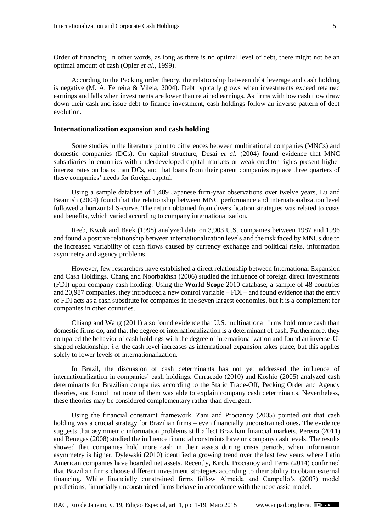Order of financing. In other words, as long as there is no optimal level of debt, there might not be an optimal amount of cash (Opler *et al.*, 1999).

According to the Pecking order theory, the relationship between debt leverage and cash holding is negative (M. A. Ferreira & Vilela, 2004). Debt typically grows when investments exceed retained earnings and falls when investments are lower than retained earnings. As firms with low cash flow draw down their cash and issue debt to finance investment, cash holdings follow an inverse pattern of debt evolution.

#### **Internationalization expansion and cash holding**

Some studies in the literature point to differences between multinational companies (MNCs) and domestic companies (DCs). On capital structure, Desai *et al.* (2004) found evidence that MNC subsidiaries in countries with underdeveloped capital markets or weak creditor rights present higher interest rates on loans than DCs, and that loans from their parent companies replace three quarters of these companies' needs for foreign capital.

Using a sample database of 1,489 Japanese firm-year observations over twelve years, Lu and Beamish (2004) found that the relationship between MNC performance and internationalization level followed a horizontal S-curve. The return obtained from diversification strategies was related to costs and benefits, which varied according to company internationalization.

Reeb, Kwok and Baek (1998) analyzed data on 3,903 U.S. companies between 1987 and 1996 and found a positive relationship between internationalization levels and the risk faced by MNCs due to the increased variability of cash flows caused by currency exchange and political risks, information asymmetry and agency problems.

However, few researchers have established a direct relationship between International Expansion and Cash Holdings. Chang and Noorbakhsh (2006) studied the influence of foreign direct investments (FDI) upon company cash holding. Using the **World Scope** 2010 database, a sample of 48 countries and 20,987 companies, they introduced a new control variable – FDI – and found evidence that the entry of FDI acts as a cash substitute for companies in the seven largest economies, but it is a complement for companies in other countries.

Chiang and Wang (2011) also found evidence that U.S. multinational firms hold more cash than domestic firms do, and that the degree of internationalization is a determinant of cash. Furthermore, they compared the behavior of cash holdings with the degree of internationalization and found an inverse-Ushaped relationship; *i.e.* the cash level increases as international expansion takes place, but this applies solely to lower levels of internationalization.

In Brazil, the discussion of cash determinants has not yet addressed the influence of internationalization in companies' cash holdings. Carracedo (2010) and Koshio (2005) analyzed cash determinants for Brazilian companies according to the Static Trade-Off, Pecking Order and Agency theories, and found that none of them was able to explain company cash determinants. Nevertheless, these theories may be considered complementary rather than divergent.

Using the financial constraint framework, Zani and Procianoy (2005) pointed out that cash holding was a crucial strategy for Brazilian firms – even financially unconstrained ones. The evidence suggests that asymmetric information problems still affect Brazilian financial markets. Pereira (2011) and Benegas (2008) studied the influence financial constraints have on company cash levels. The results showed that companies hold more cash in their assets during crisis periods, when information asymmetry is higher. Dylewski (2010) identified a growing trend over the last few years where Latin American companies have hoarded net assets. Recently, Kirch, Procianoy and Terra (2014) confirmed that Brazilian firms choose different investment strategies according to their ability to obtain external financing. While financially constrained firms follow Almeida and Campello's (2007) model predictions, financially unconstrained firms behave in accordance with the neoclassic model.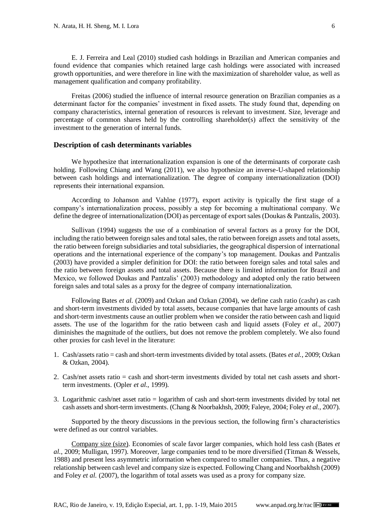E. J. Ferreira and Leal (2010) studied cash holdings in Brazilian and American companies and found evidence that companies which retained large cash holdings were associated with increased growth opportunities, and were therefore in line with the maximization of shareholder value, as well as management qualification and company profitability.

Freitas (2006) studied the influence of internal resource generation on Brazilian companies as a determinant factor for the companies' investment in fixed assets. The study found that, depending on company characteristics, internal generation of resources is relevant to investment. Size, leverage and percentage of common shares held by the controlling shareholder(s) affect the sensitivity of the investment to the generation of internal funds.

#### **Description of cash determinants variables**

We hypothesize that internationalization expansion is one of the determinants of corporate cash holding. Following Chiang and Wang (2011), we also hypothesize an inverse-U-shaped relationship between cash holdings and internationalization. The degree of company internationalization (DOI) represents their international expansion.

According to Johanson and Vahlne (1977), export activity is typically the first stage of a company's internationalization process, possibly a step for becoming a multinational company. We define the degree of internationalization (DOI) as percentage of export sales (Doukas & Pantzalis, 2003).

Sullivan (1994) suggests the use of a combination of several factors as a proxy for the DOI, including the ratio between foreign sales and total sales, the ratio between foreign assets and total assets, the ratio between foreign subsidiaries and total subsidiaries, the geographical dispersion of international operations and the international experience of the company's top management. Doukas and Pantzalis (2003) have provided a simpler definition for DOI: the ratio between foreign sales and total sales and the ratio between foreign assets and total assets. Because there is limited information for Brazil and Mexico, we followed Doukas and Pantzalis' (2003) methodology and adopted only the ratio between foreign sales and total sales as a proxy for the degree of company internationalization.

Following Bates *et al.* (2009) and Ozkan and Ozkan (2004), we define cash ratio (cashr) as cash and short-term investments divided by total assets, because companies that have large amounts of cash and short-term investments cause an outlier problem when we consider the ratio between cash and liquid assets. The use of the logarithm for the ratio between cash and liquid assets (Foley *et al.*, 2007) diminishes the magnitude of the outliers, but does not remove the problem completely. We also found other proxies for cash level in the literature:

- 1. Cash/assets ratio = cash and short-term investments divided by total assets. (Bates *et al.*, 2009; Ozkan & Ozkan, 2004).
- 2. Cash/net assets ratio = cash and short-term investments divided by total net cash assets and shortterm investments. (Opler *et al.*, 1999).
- 3. Logarithmic cash/net asset ratio = logarithm of cash and short-term investments divided by total net cash assets and short-term investments. (Chang & Noorbakhsh, 2009; Faleye, 2004; Foley *et al.*, 2007).

Supported by the theory discussions in the previous section, the following firm's characteristics were defined as our control variables.

Company size (size). Economies of scale favor larger companies, which hold less cash (Bates *et al.*, 2009; Mulligan, 1997). Moreover, large companies tend to be more diversified (Titman & Wessels, 1988) and present less asymmetric information when compared to smaller companies. Thus, a negative relationship between cash level and company size is expected. Following Chang and Noorbakhsh (2009) and Foley *et al.* (2007), the logarithm of total assets was used as a proxy for company size.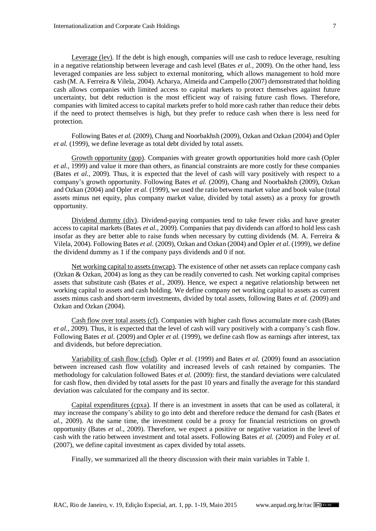Leverage (lev). If the debt is high enough, companies will use cash to reduce leverage, resulting in a negative relationship between leverage and cash level (Bates *et al.*, 2009). On the other hand, less leveraged companies are less subject to external monitoring, which allows management to hold more cash (M. A. Ferreira & Vilela, 2004). Acharya, Almeida and Campello (2007) demonstrated that holding cash allows companies with limited access to capital markets to protect themselves against future uncertainty, but debt reduction is the most efficient way of raising future cash flows. Therefore, companies with limited access to capital markets prefer to hold more cash rather than reduce their debts if the need to protect themselves is high, but they prefer to reduce cash when there is less need for protection.

Following Bates *et al.* (2009), Chang and Noorbakhsh (2009), Ozkan and Ozkan (2004) and Opler *et al.* (1999), we define leverage as total debt divided by total assets.

Growth opportunity (gop). Companies with greater growth opportunities hold more cash (Opler *et al.*, 1999) and value it more than others, as financial constraints are more costly for these companies (Bates *et al.*, 2009). Thus, it is expected that the level of cash will vary positively with respect to a company's growth opportunity. Following Bates *et al.* (2009), Chang and Noorbakhsh (2009), Ozkan and Ozkan (2004) and Opler *et al.* (1999), we used the ratio between market value and book value (total assets minus net equity, plus company market value, divided by total assets) as a proxy for growth opportunity.

Dividend dummy (div). Dividend-paying companies tend to take fewer risks and have greater access to capital markets (Bates *et al.*, 2009). Companies that pay dividends can afford to hold less cash insofar as they are better able to raise funds when necessary by cutting dividends (M. A. Ferreira & Vilela, 2004). Following Bates *et al.* (2009), Ozkan and Ozkan (2004) and Opler *et al.* (1999), we define the dividend dummy as 1 if the company pays dividends and 0 if not.

Net working capital to assets (nwcap). The existence of other net assets can replace company cash (Ozkan & Ozkan, 2004) as long as they can be readily converted to cash. Net working capital comprises assets that substitute cash (Bates *et al.*, 2009). Hence, we expect a negative relationship between net working capital to assets and cash holding. We define company net working capital to assets as current assets minus cash and short-term investments, divided by total assets, following Bates *et al.* (2009) and Ozkan and Ozkan (2004).

Cash flow over total assets (cf). Companies with higher cash flows accumulate more cash (Bates *et al.*, 2009). Thus, it is expected that the level of cash will vary positively with a company's cash flow. Following Bates *et al.* (2009) and Opler *et al.* (1999), we define cash flow as earnings after interest, tax and dividends, but before depreciation.

Variability of cash flow (cfsd). Opler *et al.* (1999) and Bates *et al.* (2009) found an association between increased cash flow volatility and increased levels of cash retained by companies. The methodology for calculation followed Bates *et al.* (2009): first, the standard deviations were calculated for cash flow, then divided by total assets for the past 10 years and finally the average for this standard deviation was calculated for the company and its sector.

Capital expenditures (cpxa). If there is an investment in assets that can be used as collateral, it may increase the company's ability to go into debt and therefore reduce the demand for cash (Bates *et al.*, 2009). At the same time, the investment could be a proxy for financial restrictions on growth opportunity (Bates *et al.*, 2009). Therefore, we expect a positive or negative variation in the level of cash with the ratio between investment and total assets. Following Bates *et al.* (2009) and Foley *et al.* (2007), we define capital investment as capex divided by total assets.

Finally, we summarized all the theory discussion with their main variables in Table 1.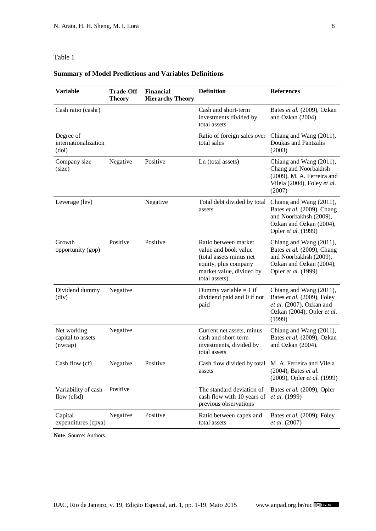## Table 1

## **Summary of Model Predictions and Variables Definitions**

| <b>Variable</b>                             | <b>Trade-Off</b><br><b>Theory</b> | <b>Financial</b><br><b>Hierarchy Theory</b> | <b>Definition</b>                                                                                                                            | <b>References</b>                                                                                                                 |
|---------------------------------------------|-----------------------------------|---------------------------------------------|----------------------------------------------------------------------------------------------------------------------------------------------|-----------------------------------------------------------------------------------------------------------------------------------|
| Cash ratio (cashr)                          |                                   |                                             | Cash and short-term<br>investments divided by<br>total assets                                                                                | Bates et al. (2009), Ozkan<br>and Ozkan (2004)                                                                                    |
| Degree of<br>internationalization<br>(doi)  |                                   |                                             | Ratio of foreign sales over<br>total sales                                                                                                   | Chiang and Wang (2011),<br>Doukas and Pantzalis<br>(2003)                                                                         |
| Company size<br>(size)                      | Negative                          | Positive                                    | Ln (total assets)                                                                                                                            | Chiang and Wang (2011),<br>Chang and Noorbakhsh<br>(2009), M. A. Ferreira and<br>Vilela (2004), Foley et al.<br>(2007)            |
| Leverage (lev)                              |                                   | Negative                                    | Total debt divided by total<br>assets                                                                                                        | Chiang and Wang (2011),<br>Bates et al. (2009), Chang<br>and Noorbakhsh (2009),<br>Ozkan and Ozkan (2004),<br>Opler et al. (1999) |
| Growth<br>opportunity (gop)                 | Positive                          | Positive                                    | Ratio between market<br>value and book value<br>(total assets minus net<br>equity, plus company<br>market value, divided by<br>total assets) | Chiang and Wang (2011),<br>Bates et al. (2009), Chang<br>and Noorbakhsh (2009),<br>Ozkan and Ozkan (2004),<br>Opler et al. (1999) |
| Dividend dummy<br>$\text{(div)}$            | Negative                          |                                             | Dummy variable $= 1$ if<br>dividend paid and 0 if not<br>paid                                                                                | Chiang and Wang (2011),<br>Bates et al. (2009), Foley<br>et al. (2007), Ozkan and<br>Ozkan (2004), Opler et al.<br>(1999)         |
| Net working<br>capital to assets<br>(nwcap) | Negative                          |                                             | Current net assets, minus<br>cash and short-term<br>investments, divided by<br>total assets                                                  | Chiang and Wang (2011),<br>Bates et al. (2009), Ozkan<br>and Ozkan (2004).                                                        |
| Cash flow (cf)                              | Negative                          | Positive                                    | Cash flow divided by total M. A. Ferreira and Vilela<br>assets                                                                               | (2004), Bates et al.<br>(2009), Opler et al. (1999)                                                                               |
| Variability of cash<br>flow (cfsd)          | Positive                          |                                             | The standard deviation of<br>cash flow with 10 years of<br>previous observations                                                             | Bates et al. (2009), Opler<br><i>et al.</i> (1999)                                                                                |
| Capital<br>expenditures (cpxa)              | Negative                          | Positive                                    | Ratio between capex and<br>total assets                                                                                                      | Bates et al. (2009), Foley<br><i>et al.</i> (2007)                                                                                |

**Note**. Source: Authors.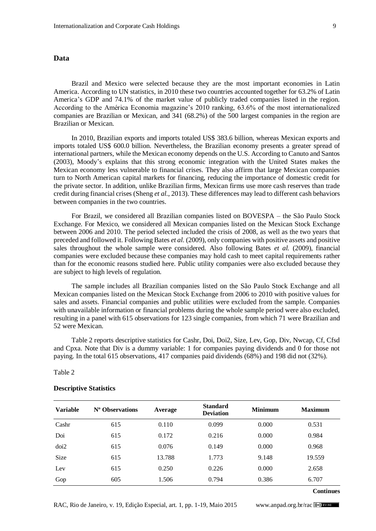#### **Data**

Brazil and Mexico were selected because they are the most important economies in Latin America. According to UN statistics, in 2010 these two countries accounted together for 63.2% of Latin America's GDP and 74.1% of the market value of publicly traded companies listed in the region. According to the América Economia magazine's 2010 ranking, 63.6% of the most internationalized companies are Brazilian or Mexican, and 341 (68.2%) of the 500 largest companies in the region are Brazilian or Mexican.

In 2010, Brazilian exports and imports totaled US\$ 383.6 billion, whereas Mexican exports and imports totaled US\$ 600.0 billion. Nevertheless, the Brazilian economy presents a greater spread of international partners, while the Mexican economy depends on the U.S. According to Canuto and Santos (2003), Moody's explains that this strong economic integration with the United States makes the Mexican economy less vulnerable to financial crises. They also affirm that large Mexican companies turn to North American capital markets for financing, reducing the importance of domestic credit for the private sector. In addition, unlike Brazilian firms, Mexican firms use more cash reserves than trade credit during financial crises (Sheng *et al.*, 2013). These differences may lead to different cash behaviors between companies in the two countries.

For Brazil, we considered all Brazilian companies listed on BOVESPA – the São Paulo Stock Exchange. For Mexico, we considered all Mexican companies listed on the Mexican Stock Exchange between 2006 and 2010. The period selected included the crisis of 2008, as well as the two years that preceded and followed it. Following Bates *et al.* (2009), only companies with positive assets and positive sales throughout the whole sample were considered. Also following Bates *et al.* (2009), financial companies were excluded because these companies may hold cash to meet capital requirements rather than for the economic reasons studied here. Public utility companies were also excluded because they are subject to high levels of regulation.

The sample includes all Brazilian companies listed on the São Paulo Stock Exchange and all Mexican companies listed on the Mexican Stock Exchange from 2006 to 2010 with positive values for sales and assets. Financial companies and public utilities were excluded from the sample. Companies with unavailable information or financial problems during the whole sample period were also excluded, resulting in a panel with 615 observations for 123 single companies, from which 71 were Brazilian and 52 were Mexican.

Table 2 reports descriptive statistics for Cashr, Doi, Doi2, Size, Lev, Gop, Div, Nwcap, Cf, Cfsd and Cpxa. Note that Div is a dummy variable: 1 for companies paying dividends and 0 for those not paying. In the total 615 observations, 417 companies paid dividends (68%) and 198 did not (32%).

Table 2

#### **Descriptive Statistics**

| <b>Variable</b> | N <sup>o</sup> Observations | Average | <b>Standard</b><br><b>Deviation</b> | <b>Minimum</b> | <b>Maximum</b> |
|-----------------|-----------------------------|---------|-------------------------------------|----------------|----------------|
| Cashr           | 615                         | 0.110   | 0.099                               | 0.000          | 0.531          |
| Doi             | 615                         | 0.172   | 0.216                               | 0.000          | 0.984          |
| doi2            | 615                         | 0.076   | 0.149                               | 0.000          | 0.968          |
| Size            | 615                         | 13.788  | 1.773                               | 9.148          | 19.559         |
| Lev             | 615                         | 0.250   | 0.226                               | 0.000          | 2.658          |
| Gop             | 605                         | 1.506   | 0.794                               | 0.386          | 6.707          |

**Continues**

RAC, Rio de Janeiro, v. 19, Edição Especial, art. 1, pp. 1-19, Maio 2015 www.anpad.org.br/rac  $\left[\infty\right]$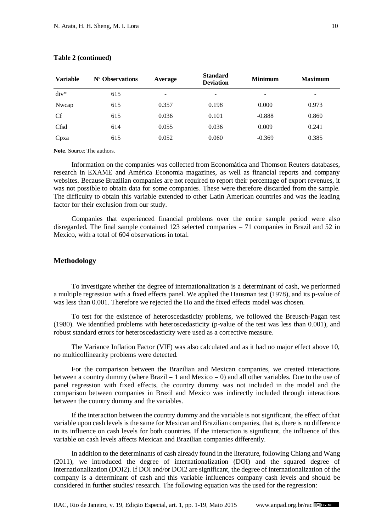| <b>Variable</b> | N <sup>o</sup> Observations | Average                  | <b>Standard</b><br><b>Deviation</b> | <b>Minimum</b>           | <b>Maximum</b> |
|-----------------|-----------------------------|--------------------------|-------------------------------------|--------------------------|----------------|
| $div*$          | 615                         | $\overline{\phantom{0}}$ | ۰                                   | $\overline{\phantom{0}}$ | -              |
| Nwcap           | 615                         | 0.357                    | 0.198                               | 0.000                    | 0.973          |
| <b>Cf</b>       | 615                         | 0.036                    | 0.101                               | $-0.888$                 | 0.860          |
| Cfsd            | 614                         | 0.055                    | 0.036                               | 0.009                    | 0.241          |
| Cpxa            | 615                         | 0.052                    | 0.060                               | $-0.369$                 | 0.385          |

#### **Table 2 (continued)**

**Note**. Source: The authors.

Information on the companies was collected from Economática and Thomson Reuters databases, research in EXAME and América Economia magazines, as well as financial reports and company websites. Because Brazilian companies are not required to report their percentage of export revenues, it was not possible to obtain data for some companies. These were therefore discarded from the sample. The difficulty to obtain this variable extended to other Latin American countries and was the leading factor for their exclusion from our study.

Companies that experienced financial problems over the entire sample period were also disregarded. The final sample contained 123 selected companies – 71 companies in Brazil and 52 in Mexico, with a total of 604 observations in total.

## **Methodology**

To investigate whether the degree of internationalization is a determinant of cash, we performed a multiple regression with a fixed effects panel. We applied the Hausman test (1978), and its p-value of was less than 0.001. Therefore we rejected the Ho and the fixed effects model was chosen.

To test for the existence of heteroscedasticity problems, we followed the Breusch-Pagan test (1980). We identified problems with heteroscedasticity (p-value of the test was less than 0.001), and robust standard errors for heteroscedasticity were used as a corrective measure.

The Variance Inflation Factor (VIF) was also calculated and as it had no major effect above 10, no multicollinearity problems were detected.

For the comparison between the Brazilian and Mexican companies, we created interactions between a country dummy (where Brazil  $= 1$  and Mexico  $= 0$ ) and all other variables. Due to the use of panel regression with fixed effects, the country dummy was not included in the model and the comparison between companies in Brazil and Mexico was indirectly included through interactions between the country dummy and the variables.

If the interaction between the country dummy and the variable is not significant, the effect of that variable upon cash levels is the same for Mexican and Brazilian companies, that is, there is no difference in its influence on cash levels for both countries. If the interaction is significant, the influence of this variable on cash levels affects Mexican and Brazilian companies differently.

In addition to the determinants of cash already found in the literature, following Chiang and Wang (2011), we introduced the degree of internationalization (DOI) and the squared degree of internationalization (DOI2). If DOI and/or DOI2 are significant, the degree of internationalization of the company is a determinant of cash and this variable influences company cash levels and should be considered in further studies/ research. The following equation was the used for the regression: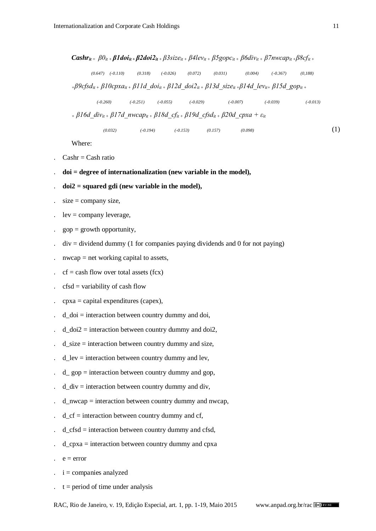Cashr<sub>it =</sub>  $\beta0_{it}$  +  $\beta$ 1doi<sub>it</sub> +  $\beta$ 2doi2<sub>it</sub> +  $\beta$ 3size<sub>it</sub> +  $\beta$ 4lev<sub>it</sub> +  $\beta$ 5gopc<sub>it</sub> +  $\beta$ 6div<sub>it</sub> +  $\beta$ 7nwcap<sub>it</sub> +  $\beta$ 8cf<sub>it</sub> +  *(0.647) (-0.110) (0.318) (-0.026) (0.072) (0.031) (0.004) (-0.367) (0,188) <sup>+</sup>β9cfsdit + β10cpxait + β11d\_doiit + β12d\_doi2it + β13d\_sizeit +β14d\_levit+ β15d\_gopit + (-0.260) (-0.251) (-0.055) (-0.029) (-0.007) (-0.039) (-0.013)*

 *(0.032) (-0.194) (-0.153) (0.157) (0.098)* (1)

Where:

- $\text{Cash ratio}$
- . **doi = degree of internationalization (new variable in the model),**
- . **doi2 = squared gdi (new variable in the model),**
- $size = company size$ ,
- $lev = company leverage,$
- $gop =$  growth opportunity,
- $div =$  dividend dummy (1 for companies paying dividends and 0 for not paying)

*<sup>+</sup> β16d\_divit + β17d\_nwcapit + β18d\_cfit + β19d\_cfsdit + β20d\_cpxa + εit*

- . nwcap = net working capital to assets,
- $cf = cash flow over total assets (fcx)$
- $cfsd = variability of cash flow$
- $cpxa = capital$  expenditures (capex),
- $d$  doi = interaction between country dummy and doi,
- $d_d$  doi2 = interaction between country dummy and doi2,
- . d\_size = interaction between country dummy and size,
- $d$ <sub>lev</sub> = interaction between country dummy and lev,
- . d\_ gop = interaction between country dummy and gop,
- $d$ <sub>-</sub>div = interaction between country dummy and div,
- . d\_nwcap = interaction between country dummy and nwcap,
- $d_c f$  = interaction between country dummy and cf,
- . d\_cfsd = interaction between country dummy and cfsd,
- . d\_cpxa = interaction between country dummy and cpxa
- $e = error$
- $i =$ companies analyzed
- $t = period of time under analysis$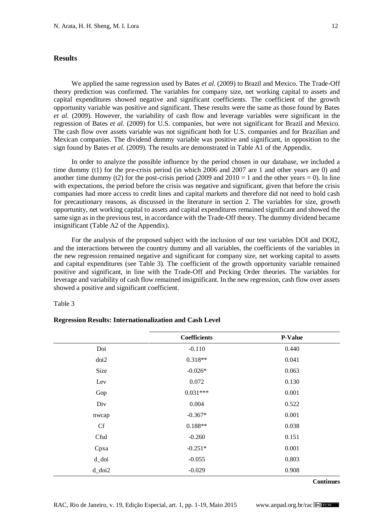## **Results**

We applied the same regression used by Bates *et al.* (2009) to Brazil and Mexico. The Trade-Off theory prediction was confirmed. The variables for company size, net working capital to assets and capital expenditures showed negative and significant coefficients. The coefficient of the growth opportunity variable was positive and significant. These results were the same as those found by Bates *et al.* (2009). However, the variability of cash flow and leverage variables were significant in the regression of Bates *et al.* (2009) for U.S. companies, but were not significant for Brazil and Mexico. The cash flow over assets variable was not significant both for U.S. companies and for Brazilian and Mexican companies. The dividend dummy variable was positive and significant, in opposition to the sign found by Bates *et al.* (2009). The results are demonstrated in Table A1 of the Appendix.

In order to analyze the possible influence by the period chosen in our database, we included a time dummy (t1) for the pre-crisis period (in which 2006 and 2007 are 1 and other years are 0) and another time dummy (t2) for the post-crisis period (2009 and  $2010 = 1$  and the other years = 0). In line with expectations, the period before the crisis was negative and significant, given that before the crisis companies had more access to credit lines and capital markets and therefore did not need to hold cash for precautionary reasons, as discussed in the literature in section 2. The variables for size, growth opportunity, net working capital to assets and capital expenditures remained significant and showed the same sign as in the previous test, in accordance with the Trade-Off theory. The dummy dividend became insignificant (Table A2 of the Appendix).

For the analysis of the proposed subject with the inclusion of our test variables DOI and DOI2, and the interactions between the country dummy and all variables, the coefficients of the variables in the new regression remained negative and significant for company size, net working capital to assets and capital expenditures (see Table 3). The coefficient of the growth opportunity variable remained positive and significant, in line with the Trade-Off and Pecking Order theories. The variables for leverage and variability of cash flow remained insignificant. In the new regression, cash flow over assets showed a positive and significant coefficient.

Table 3

## **Coefficients P-Value** Doi **-0.110** 0.440 doi2 0.318<sup>\*\*</sup> 0.041 Size  $-0.026*$   $-0.026*$  0.063 Lev 0.072 0.130 Gop 0.031\*\*\* 0.001 Div 0.004 0.522 nwcap  $-0.367*$  0.001  $Cf$  0.188\*\* 0.038 Cfsd  $-0.260$  0.151  $Cpxa$   $-0.251*$   $0.001$ d\_doi -0.055 0.803 d\_doi2 -0.029 0.908

## **Regression Results: Internationalization and Cash Level**

**Continues**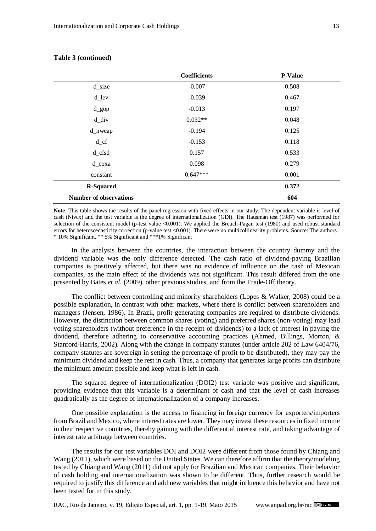|                               | <b>Coefficients</b> | <b>P-Value</b> |
|-------------------------------|---------------------|----------------|
| d_size                        | $-0.007$            | 0.508          |
| $d$ <sub>-lev</sub>           | $-0.039$            | 0.467          |
| $d\_gop$                      | $-0.013$            | 0.197          |
| $d$ _div                      | $0.032**$           | 0.048          |
| d_nwcap                       | $-0.194$            | 0.125          |
| $d_c$ cf                      | $-0.153$            | 0.118          |
| d_cfsd                        | 0.157               | 0.533          |
| d_cpxa                        | 0.098               | 0.279          |
| constant                      | $0.647***$          | 0.001          |
| <b>R-Squared</b>              |                     | 0.372          |
| <b>Number of observations</b> |                     | 604            |

#### **Table 3 (continued)**

**Note**. This table shows the results of the panel regression with fixed effects in our study. The dependent variable is level of cash (Nivcx) and the test variable is the degree of internationalization (GDI). The Hausman test (1987) was performed for selection of the consistent model (p-test value <0.001). We applied the Breuch-Pagan test (1980) and used robust standard errors for heteroscedasticity correction (p-value test <0.001). There were no multicollinearity problems. Source: The authors. \* 10% Significant, \*\* 5% Significant and \*\*\*1% Significant

In the analysis between the countries, the interaction between the country dummy and the dividend variable was the only difference detected. The cash ratio of dividend-paying Brazilian companies is positively affected, but there was no evidence of influence on the cash of Mexican companies, as the main effect of the dividends was not significant. This result differed from the one presented by Bates *et al.* (2009), other previous studies, and from the Trade-Off theory.

The conflict between controlling and minority shareholders (Lopes & Walker, 2008) could be a possible explanation, in contrast with other markets, where there is conflict between shareholders and managers (Jensen, 1986). In Brazil, profit-generating companies are required to distribute dividends. However, the distinction between common shares (voting) and preferred shares (non-voting) may lead voting shareholders (without preference in the receipt of dividends) to a lack of interest in paying the dividend, therefore adhering to conservative accounting practices (Ahmed, Billings, Morton, & Stanford-Harris, 2002). Along with the change in company statutes (under article 202 of Law 6404/76, company statutes are sovereign in setting the percentage of profit to be distributed), they may pay the minimum dividend and keep the rest in cash. Thus, a company that generates large profits can distribute the minimum amount possible and keep what is left in cash.

The squared degree of internationalization (DOI2) test variable was positive and significant, providing evidence that this variable is a determinant of cash and that the level of cash increases quadratically as the degree of internationalization of a company increases.

One possible explanation is the access to financing in foreign currency for exporters/importers from Brazil and Mexico, where interest rates are lower. They may invest these resources in fixed income in their respective countries, thereby gaining with the differential interest rate, and taking advantage of interest rate arbitrage between countries.

The results for our test variables DOI and DOI2 were different from those found by Chiang and Wang (2011), which were based on the United States. We can therefore affirm that the theory/modeling tested by Chiang and Wang (2011) did not apply for Brazilian and Mexican companies. Their behavior of cash holding and internationalization was shown to be different. Thus, further research would be required to justify this difference and add new variables that might influence this behavior and have not been tested for in this study.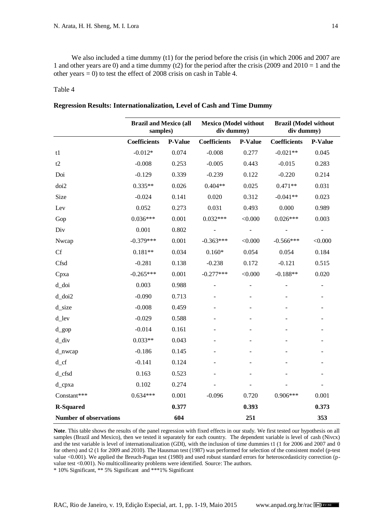We also included a time dummy (t1) for the period before the crisis (in which 2006 and 2007 are 1 and other years are 0) and a time dummy (t2) for the period after the crisis (2009 and 2010 = 1 and the other years  $= 0$ ) to test the effect of 2008 crisis on cash in Table 4.

## Table 4

|  |  |  | <b>Regression Results: Internationalization, Level of Cash and Time Dummy</b> |
|--|--|--|-------------------------------------------------------------------------------|
|  |  |  |                                                                               |
|  |  |  |                                                                               |
|  |  |  |                                                                               |

|                               | <b>Brazil and Mexico (all</b><br>samples) |                | <b>Mexico (Model without</b><br>div dummy) |                          | <b>Brazil (Model without</b><br>div dummy) |                |
|-------------------------------|-------------------------------------------|----------------|--------------------------------------------|--------------------------|--------------------------------------------|----------------|
|                               | <b>Coefficients</b>                       | <b>P-Value</b> | <b>Coefficients</b>                        | <b>P-Value</b>           | <b>Coefficients</b>                        | P-Value        |
| t1                            | $-0.012*$                                 | 0.074          | $-0.008$                                   | 0.277                    | $-0.021**$                                 | 0.045          |
| t2                            | $-0.008$                                  | 0.253          | $-0.005$                                   | 0.443                    | $-0.015$                                   | 0.283          |
| Doi                           | $-0.129$                                  | 0.339          | $-0.239$                                   | 0.122                    | $-0.220$                                   | 0.214          |
| doi2                          | $0.335**$                                 | 0.026          | $0.404**$                                  | 0.025                    | $0.471**$                                  | 0.031          |
| Size                          | $-0.024$                                  | 0.141          | 0.020                                      | 0.312                    | $-0.041**$                                 | 0.023          |
| Lev                           | 0.052                                     | 0.273          | 0.031                                      | 0.493                    | 0.000                                      | 0.989          |
| Gop                           | $0.036***$                                | 0.001          | $0.032***$                                 | < 0.000                  | $0.026***$                                 | 0.003          |
| Div                           | 0.001                                     | 0.802          |                                            | $\blacksquare$           |                                            | $\blacksquare$ |
| Nwcap                         | $-0.379***$                               | 0.001          | $-0.363***$                                | < 0.000                  | $-0.566***$                                | < 0.000        |
| Cf                            | $0.181**$                                 | 0.034          | $0.160*$                                   | 0.054                    | 0.054                                      | 0.184          |
| Cfsd                          | $-0.281$                                  | 0.138          | $-0.238$                                   | 0.172                    | $-0.121$                                   | 0.515          |
| Cpxa                          | $-0.265***$                               | 0.001          | $-0.277***$                                | < 0.000                  | $-0.188**$                                 | 0.020          |
| d_doi                         | 0.003                                     | 0.988          |                                            | $\overline{\phantom{a}}$ |                                            |                |
| $d\_doi2$                     | $-0.090$                                  | 0.713          |                                            |                          |                                            |                |
| d_size                        | $-0.008$                                  | 0.459          |                                            |                          |                                            |                |
| d_lev                         | $-0.029$                                  | 0.588          |                                            |                          |                                            |                |
| $d_{gop}$                     | $-0.014$                                  | 0.161          |                                            |                          |                                            |                |
| $d$ _div                      | $0.033**$                                 | 0.043          |                                            |                          |                                            |                |
| d_nwcap                       | $-0.186$                                  | 0.145          |                                            |                          |                                            |                |
| $d_c$ cf                      | $-0.141$                                  | 0.124          |                                            |                          |                                            |                |
| d_cfsd                        | 0.163                                     | 0.523          |                                            |                          |                                            |                |
| d_cpxa                        | 0.102                                     | 0.274          |                                            |                          |                                            |                |
| Constant***                   | $0.634***$                                | 0.001          | $-0.096$                                   | 0.720                    | $0.906***$                                 | 0.001          |
| <b>R-Squared</b>              |                                           | 0.377          |                                            | 0.393                    |                                            | 0.373          |
| <b>Number of observations</b> |                                           | 604            |                                            | 251                      |                                            | 353            |

**Note**. This table shows the results of the panel regression with fixed effects in our study. We first tested our hypothesis on all samples (Brazil and Mexico), then we tested it separately for each country. The dependent variable is level of cash (Nivcx) and the test variable is level of internationalization (GDI), with the inclusion of time dummies t1 (1 for 2006 and 2007 and 0 for others) and t2 (1 for 2009 and 2010). The Hausman test (1987) was performed for selection of the consistent model (p-test value <0.001). We applied the Breuch-Pagan test (1980) and used robust standard errors for heteroscedasticity correction (pvalue test <0.001). No multicollinearity problems were identified. Source: The authors.

\* 10% Significant, \*\* 5% Significant and \*\*\*1% Significant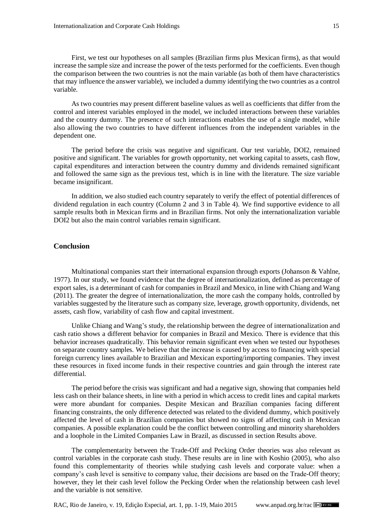First, we test our hypotheses on all samples (Brazilian firms plus Mexican firms), as that would increase the sample size and increase the power of the tests performed for the coefficients. Even though the comparison between the two countries is not the main variable (as both of them have characteristics that may influence the answer variable), we included a dummy identifying the two countries as a control variable.

As two countries may present different baseline values as well as coefficients that differ from the control and interest variables employed in the model, we included interactions between these variables and the country dummy. The presence of such interactions enables the use of a single model, while also allowing the two countries to have different influences from the independent variables in the dependent one.

The period before the crisis was negative and significant. Our test variable, DOI2, remained positive and significant. The variables for growth opportunity, net working capital to assets, cash flow, capital expenditures and interaction between the country dummy and dividends remained significant and followed the same sign as the previous test, which is in line with the literature. The size variable became insignificant.

In addition, we also studied each country separately to verify the effect of potential differences of dividend regulation in each country (Column 2 and 3 in Table 4). We find supportive evidence to all sample results both in Mexican firms and in Brazilian firms. Not only the internationalization variable DOI2 but also the main control variables remain significant.

## **Conclusion**

Multinational companies start their international expansion through exports (Johanson & Vahlne, 1977). In our study, we found evidence that the degree of internationalization, defined as percentage of export sales, is a determinant of cash for companies in Brazil and Mexico, in line with Chiang and Wang (2011). The greater the degree of internationalization, the more cash the company holds, controlled by variables suggested by the literature such as company size, leverage, growth opportunity, dividends, net assets, cash flow, variability of cash flow and capital investment.

Unlike Chiang and Wang's study, the relationship between the degree of internationalization and cash ratio shows a different behavior for companies in Brazil and Mexico. There is evidence that this behavior increases quadratically. This behavior remain significant even when we tested our hypotheses on separate country samples. We believe that the increase is caused by access to financing with special foreign currency lines available to Brazilian and Mexican exporting/importing companies. They invest these resources in fixed income funds in their respective countries and gain through the interest rate differential.

The period before the crisis was significant and had a negative sign, showing that companies held less cash on their balance sheets, in line with a period in which access to credit lines and capital markets were more abundant for companies. Despite Mexican and Brazilian companies facing different financing constraints, the only difference detected was related to the dividend dummy, which positively affected the level of cash in Brazilian companies but showed no signs of affecting cash in Mexican companies. A possible explanation could be the conflict between controlling and minority shareholders and a loophole in the Limited Companies Law in Brazil, as discussed in section Results above.

The complementarity between the Trade-Off and Pecking Order theories was also relevant as control variables in the corporate cash study. These results are in line with Koshio (2005), who also found this complementarity of theories while studying cash levels and corporate value: when a company's cash level is sensitive to company value, their decisions are based on the Trade-Off theory; however, they let their cash level follow the Pecking Order when the relationship between cash level and the variable is not sensitive.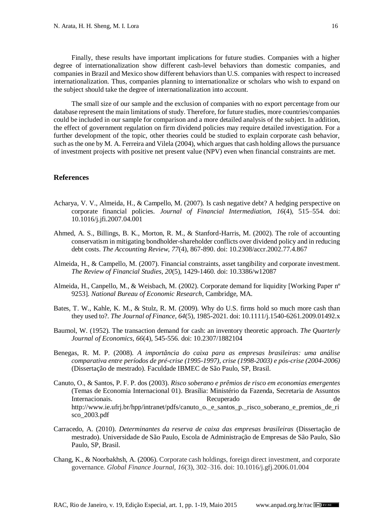Finally, these results have important implications for future studies. Companies with a higher degree of internationalization show different cash-level behaviors than domestic companies, and companies in Brazil and Mexico show different behaviors than U.S. companies with respect to increased internationalization. Thus, companies planning to internationalize or scholars who wish to expand on the subject should take the degree of internationalization into account.

The small size of our sample and the exclusion of companies with no export percentage from our database represent the main limitations of study. Therefore, for future studies, more countries/companies could be included in our sample for comparison and a more detailed analysis of the subject. In addition, the effect of government regulation on firm dividend policies may require detailed investigation. For a further development of the topic, other theories could be studied to explain corporate cash behavior, such as the one by M. A. Ferreira and Vilela (2004), which argues that cash holding allows the pursuance of investment projects with positive net present value (NPV) even when financial constraints are met.

## **References**

- Acharya, V. V., Almeida, H., & Campello, M. (2007). Is cash negative debt? A hedging perspective on corporate financial policies. *Journal of Financial Intermediation, 16*(4), 515–554. doi: 10.1016/j.jfi.2007.04.001
- Ahmed, A. S., Billings, B. K., Morton, R. M., & Stanford-Harris, M. (2002). The role of accounting conservatism in mitigating bondholder-shareholder conflicts over dividend policy and in reducing debt costs. *The Accounting Review, 77*(4), 867-890. doi: 10.2308/accr.2002.77.4.867
- Almeida, H., & Campello, M. (2007). Financial constraints, asset tangibility and corporate investment. *The Review of Financial Studies, 20*(5), 1429-1460. doi: 10.3386/w12087
- Almeida, H., Canpello, M., & Weisbach, M. (2002). Corporate demand for liquidity [Working Paper nº 9253]. *National Bureau of Economic Research*, Cambridge, MA.
- Bates, T. W., Kahle, K. M., & Stulz, R. M. (2009). Why do U.S. firms hold so much more cash than they used to?. *The Journal of Finance, 64*(5), 1985-2021. doi: 10.1111/j.1540-6261.2009.01492.x
- Baumol, W. (1952). The transaction demand for cash: an inventory theoretic approach. *The Quarterly Journal of Economics, 66*(4), 545-556. doi: 10.2307/1882104
- Benegas, R. M. P. (2008). *A importância do caixa para as empresas brasileiras: uma análise comparativa entre períodos de pré-crise (1995-1997), crise (1998-2003) e pós-crise (2004-2006)* (Dissertação de mestrado). Faculdade IBMEC de São Paulo, SP, Brasil.
- Canuto, O., & Santos, P. F. P. dos (2003). *Risco soberano e prêmios de risco em economias emergentes* (Temas de Economia Internacional 01). Brasília: Ministério da Fazenda, Secretaria de Assuntos Internacionais. Recuperado de http://www.ie.ufrj.br/hpp/intranet/pdfs/canuto\_o.\_e\_santos\_p.\_risco\_soberano\_e\_premios\_de\_ri sco\_2003.pdf
- Carracedo, A. (2010). *Determinantes da reserva de caixa das empresas brasileiras* (Dissertação de mestrado). Universidade de São Paulo, Escola de Administração de Empresas de São Paulo, São Paulo, SP, Brasil.
- Chang, K., & Noorbakhsh, A. (2006). Corporate cash holdings, foreign direct investment, and corporate governance. *Global Finance Journal, 16*(3), 302–316. doi: 10.1016/j.gfj.2006.01.004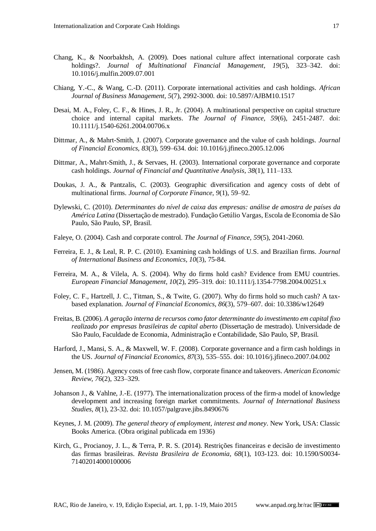- Chang, K., & Noorbakhsh, A. (2009). Does national culture affect international corporate cash holdings?. *Journal of Multinational Financial Management, 19*(5), 323–342. doi: 10.1016/j.mulfin.2009.07.001
- Chiang, Y.-C., & Wang, C.-D. (2011). Corporate international activities and cash holdings. *African Journal of Business Management, 5*(7), 2992-3000. doi: 10.5897/AJBM10.1517
- Desai, M. A., Foley, C. F., & Hines, J. R., Jr. (2004). A multinational perspective on capital structure choice and internal capital markets. *The Journal of Finance, 59*(6), 2451-2487. doi: 10.1111/j.1540-6261.2004.00706.x
- Dittmar, A., & Mahrt-Smith, J. (2007). Corporate governance and the value of cash holdings. *Journal of Financial Economics, 83*(3), 599–634. doi: 10.1016/j.jfineco.2005.12.006
- Dittmar, A., Mahrt-Smith, J., & Servaes, H. (2003). International corporate governance and corporate cash holdings. *Journal of Financial and Quantitative Analysis, 38*(1), 111–133.
- Doukas, J. A., & Pantzalis, C. (2003). Geographic diversification and agency costs of debt of multinational firms. *Journal of Corporate Finance, 9*(1), 59–92.
- Dylewski, C. (2010). *Determinantes do nível de caixa das empresas: análise de amostra de países da América Latina* (Dissertação de mestrado). Fundação Getúlio Vargas, Escola de Economia de São Paulo, São Paulo, SP, Brasil.
- Faleye, O. (2004). Cash and corporate control. *The Journal of Finance, 59*(5), 2041-2060.
- Ferreira, E. J., & Leal, R. P. C. (2010). Examining cash holdings of U.S. and Brazilian firms. *Journal of International Business and Economics, 10*(3), 75-84.
- Ferreira, M. A., & Vilela, A. S. (2004). Why do firms hold cash? Evidence from EMU countries. *European Financial Management, 10*(2), 295–319. doi: 10.1111/j.1354-7798.2004.00251.x
- Foley, C. F., Hartzell, J. C., Titman, S., & Twite, G. (2007). Why do firms hold so much cash? A taxbased explanation. *Journal of Financial Economics, 86*(3), 579–607. doi: 10.3386/w12649
- Freitas, B. (2006). *A geração interna de recursos como fator determinante do investimento em capital fixo realizado por empresas brasileiras de capital aberto* (Dissertação de mestrado). Universidade de São Paulo, Faculdade de Economia, Administração e Contabilidade, São Paulo, SP, Brasil.
- Harford, J., Mansi, S. A., & Maxwell, W. F. (2008). Corporate governance and a firm cash holdings in the US. *Journal of Financial Economics, 87*(3), 535–555. doi: 10.1016/j.jfineco.2007.04.002
- Jensen, M. (1986). Agency costs of free cash flow, corporate finance and takeovers. *American Economic Review, 76*(2), 323–329.
- Johanson J., & Vahlne, J.-E. (1977). The internationalization process of the firm-a model of knowledge development and increasing foreign market commitments. *Journal of International Business Studies, 8*(1), 23-32. doi: 10.1057/palgrave.jibs.8490676
- Keynes, J. M. (2009). *The general theory of employment, interest and money*. New York, USA: Classic Books America. (Obra original publicada em 1936)
- Kirch, G., Procianoy, J. L., & Terra, P. R. S. (2014). Restrições financeiras e decisão de investimento das firmas brasileiras. *Revista Brasileira de Economia, 68*(1), 103-123. doi: 10.1590/S0034- 71402014000100006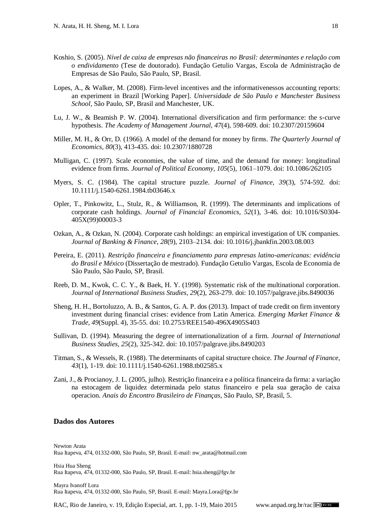- Koshio, S. (2005). *Nível de caixa de empresas não financeiras no Brasil: determinantes e relação com o endividamento* (Tese de doutorado). Fundação Getulio Vargas, Escola de Administração de Empresas de São Paulo, São Paulo, SP, Brasil.
- Lopes, A., & Walker, M. (2008). Firm-level incentives and the informativenessos accounting reports: an experiment in Brazil [Working Paper]. *Universidade de São Paulo e Manchester Business School*, São Paulo, SP, Brasil and Manchester, UK.
- Lu, J. W., & Beamish P. W. (2004). International diversification and firm performance: the s-curve hypothesis. *The Academy of Management Journal, 47*(4), 598-609. doi: 10.2307/20159604
- Miller, M. H., & Orr, D. (1966). A model of the demand for money by firms. *The Quarterly Journal of Economics, 80*(3), 413-435. doi: 10.2307/1880728
- Mulligan, C. (1997). Scale economies, the value of time, and the demand for money: longitudinal evidence from firms. *Journal of Political Economy, 105*(5), 1061–1079. doi: 10.1086/262105
- Myers, S. C. (1984). The capital structure puzzle. *Journal of Finance, 39*(3), 574-592. doi: 10.1111/j.1540-6261.1984.tb03646.x
- Opler, T., Pinkowitz, L., Stulz, R., & Williamson, R. (1999). The determinants and implications of corporate cash holdings. *Journal of Financial Economics, 52*(1), 3-46. doi: 10.1016/S0304- 405X(99)00003-3
- Ozkan, A., & Ozkan, N. (2004). Corporate cash holdings: an empirical investigation of UK companies. *Journal of Banking & Finance, 28*(9), 2103–2134. doi: 10.1016/j.jbankfin.2003.08.003
- Pereira, E. (2011). *Restrição financeira e financiamento para empresas latino-americanas: evidência do Brasil e México* (Dissertação de mestrado). Fundação Getulio Vargas, Escola de Economia de São Paulo, São Paulo, SP, Brasil.
- Reeb, D. M., Kwok, C. C. Y., & Baek, H. Y. (1998). Systematic risk of the multinational corporation. *Journal of International Business Studies, 29*(2), 263-279. doi: 10.1057/palgrave.jibs.8490036
- Sheng, H. H., Bortoluzzo, A. B., & Santos, G. A. P. dos (2013). Impact of trade credit on firm inventory investment during financial crises: evidence from Latin America. *Emerging Market Finance & Trade, 49*(Suppl. 4), 35-55. doi: 10.2753/REE1540-496X4905S403
- Sullivan, D. (1994). Measuring the degree of internationalization of a firm. *Journal of International Business Studies, 25*(2), 325-342. doi: 10.1057/palgrave.jibs.8490203
- Titman, S., & Wessels, R. (1988). The determinants of capital structure choice. *The Journal of Finance, 43*(1), 1-19. doi: 10.1111/j.1540-6261.1988.tb02585.x
- Zani, J., & Procianoy, J. L. (2005, julho). Restrição financeira e a política financeira da firma: a variação na estocagem de liquidez determinada pelo status financeiro e pela sua geração de caixa operacion. *Anais do Encontro Brasileiro de Finanças*, São Paulo, SP, Brasil, 5.

#### **Dados dos Autores**

Newton Arata Rua Itapeva, 474, 01332-000, São Paulo, SP, Brasil. E-mail: nw\_arata@hotmail.com

Hsia Hua Sheng Rua Itapeva, 474, 01332-000, São Paulo, SP, Brasil. E-mail: hsia.sheng@fgv.br

Mayra Ivanoff Lora Rua Itapeva, 474, 01332-000, São Paulo, SP, Brasil. E-mail: Mayra.Lora@fgv.br

RAC, Rio de Janeiro, v. 19, Edição Especial, art. 1, pp. 1-19, Maio 2015 www.anpad.org.br/rac ( $\frac{1}{2}$